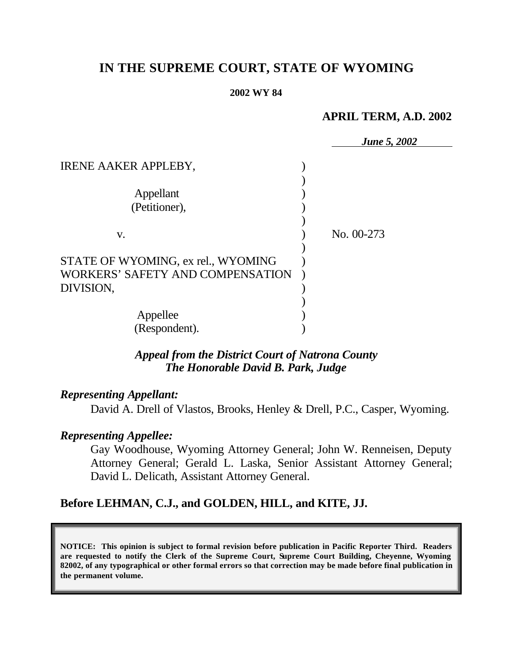# **IN THE SUPREME COURT, STATE OF WYOMING**

#### **2002 WY 84**

## **APRIL TERM, A.D. 2002**

|                                    | <b>June 5, 2002</b> |
|------------------------------------|---------------------|
| <b>IRENE AAKER APPLEBY,</b>        |                     |
|                                    |                     |
| Appellant                          |                     |
| (Petitioner),                      |                     |
|                                    |                     |
| V.                                 | No. 00-273          |
|                                    |                     |
| STATE OF WYOMING, ex rel., WYOMING |                     |
| WORKERS' SAFETY AND COMPENSATION   |                     |
| DIVISION,                          |                     |
|                                    |                     |
| Appellee                           |                     |
| (Respondent).                      |                     |

## *Appeal from the District Court of Natrona County The Honorable David B. Park, Judge*

## *Representing Appellant:*

David A. Drell of Vlastos, Brooks, Henley & Drell, P.C., Casper, Wyoming.

## *Representing Appellee:*

Gay Woodhouse, Wyoming Attorney General; John W. Renneisen, Deputy Attorney General; Gerald L. Laska, Senior Assistant Attorney General; David L. Delicath, Assistant Attorney General.

## **Before LEHMAN, C.J., and GOLDEN, HILL, and KITE, JJ.**

**NOTICE: This opinion is subject to formal revision before publication in Pacific Reporter Third. Readers are requested to notify the Clerk of the Supreme Court, Supreme Court Building, Cheyenne, Wyoming 82002, of any typographical or other formal errors so that correction may be made before final publication in the permanent volume.**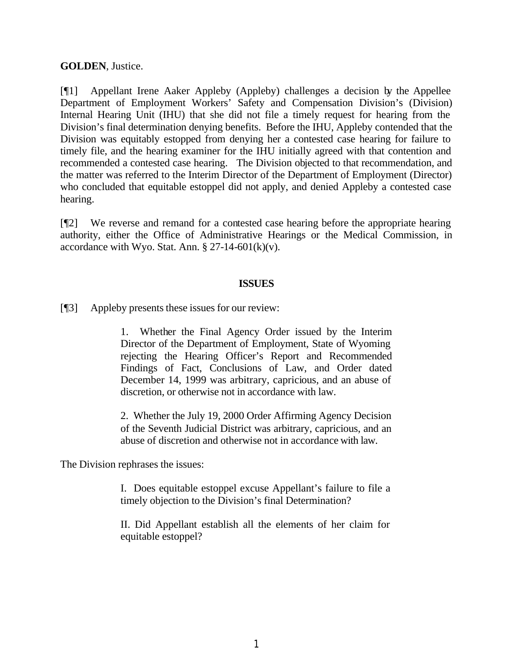### **GOLDEN**, Justice.

[¶1] Appellant Irene Aaker Appleby (Appleby) challenges a decision by the Appellee Department of Employment Workers' Safety and Compensation Division's (Division) Internal Hearing Unit (IHU) that she did not file a timely request for hearing from the Division's final determination denying benefits. Before the IHU, Appleby contended that the Division was equitably estopped from denying her a contested case hearing for failure to timely file, and the hearing examiner for the IHU initially agreed with that contention and recommended a contested case hearing. The Division objected to that recommendation, and the matter was referred to the Interim Director of the Department of Employment (Director) who concluded that equitable estoppel did not apply, and denied Appleby a contested case hearing.

[¶2] We reverse and remand for a contested case hearing before the appropriate hearing authority, either the Office of Administrative Hearings or the Medical Commission, in accordance with Wyo. Stat. Ann.  $\S 27-14-601(k)(v)$ .

#### **ISSUES**

[¶3] Appleby presents these issues for our review:

1. Whether the Final Agency Order issued by the Interim Director of the Department of Employment, State of Wyoming rejecting the Hearing Officer's Report and Recommended Findings of Fact, Conclusions of Law, and Order dated December 14, 1999 was arbitrary, capricious, and an abuse of discretion, or otherwise not in accordance with law.

2. Whether the July 19, 2000 Order Affirming Agency Decision of the Seventh Judicial District was arbitrary, capricious, and an abuse of discretion and otherwise not in accordance with law.

The Division rephrases the issues:

I. Does equitable estoppel excuse Appellant's failure to file a timely objection to the Division's final Determination?

II. Did Appellant establish all the elements of her claim for equitable estoppel?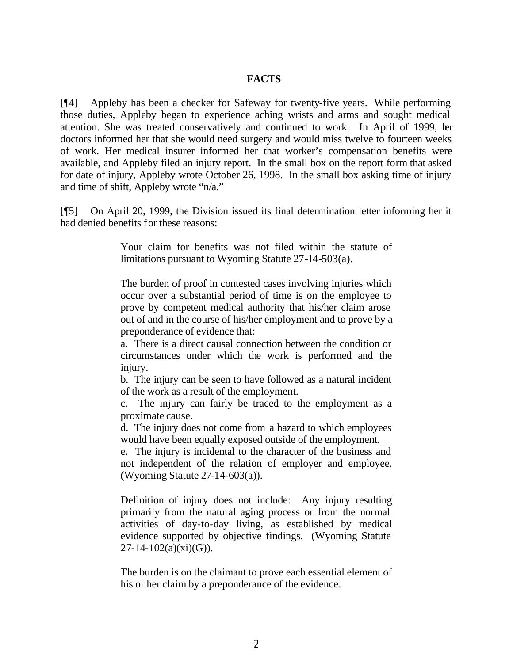### **FACTS**

[¶4] Appleby has been a checker for Safeway for twenty-five years. While performing those duties, Appleby began to experience aching wrists and arms and sought medical attention. She was treated conservatively and continued to work. In April of 1999, her doctors informed her that she would need surgery and would miss twelve to fourteen weeks of work. Her medical insurer informed her that worker's compensation benefits were available, and Appleby filed an injury report. In the small box on the report form that asked for date of injury, Appleby wrote October 26, 1998. In the small box asking time of injury and time of shift, Appleby wrote "n/a."

[¶5] On April 20, 1999, the Division issued its final determination letter informing her it had denied benefits for these reasons:

> Your claim for benefits was not filed within the statute of limitations pursuant to Wyoming Statute 27-14-503(a).

> The burden of proof in contested cases involving injuries which occur over a substantial period of time is on the employee to prove by competent medical authority that his/her claim arose out of and in the course of his/her employment and to prove by a preponderance of evidence that:

> a. There is a direct causal connection between the condition or circumstances under which the work is performed and the injury.

> b. The injury can be seen to have followed as a natural incident of the work as a result of the employment.

> c. The injury can fairly be traced to the employment as a proximate cause.

> d. The injury does not come from a hazard to which employees would have been equally exposed outside of the employment.

> e. The injury is incidental to the character of the business and not independent of the relation of employer and employee. (Wyoming Statute 27-14-603(a)).

> Definition of injury does not include: Any injury resulting primarily from the natural aging process or from the normal activities of day-to-day living, as established by medical evidence supported by objective findings. (Wyoming Statute  $27-14-102(a)(xi)(G)$ .

> The burden is on the claimant to prove each essential element of his or her claim by a preponderance of the evidence.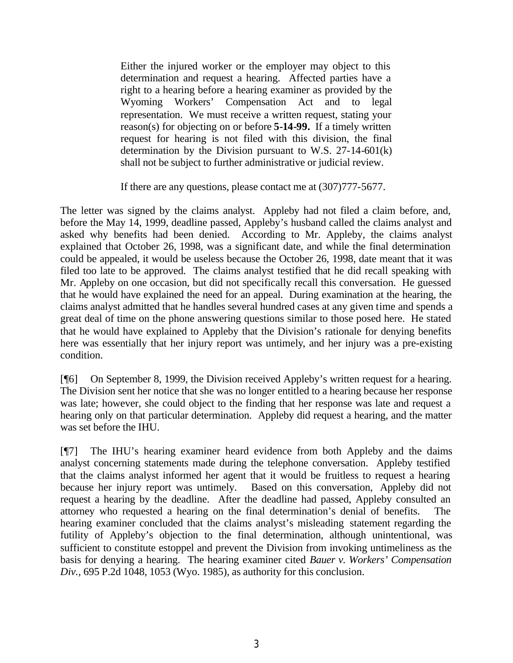Either the injured worker or the employer may object to this determination and request a hearing. Affected parties have a right to a hearing before a hearing examiner as provided by the Wyoming Workers' Compensation Act and to legal representation. We must receive a written request, stating your reason(s) for objecting on or before **5-14-99.** If a timely written request for hearing is not filed with this division, the final determination by the Division pursuant to W.S. 27-14-601(k) shall not be subject to further administrative or judicial review.

If there are any questions, please contact me at (307)777-5677.

The letter was signed by the claims analyst. Appleby had not filed a claim before, and, before the May 14, 1999, deadline passed, Appleby's husband called the claims analyst and asked why benefits had been denied. According to Mr. Appleby, the claims analyst explained that October 26, 1998, was a significant date, and while the final determination could be appealed, it would be useless because the October 26, 1998, date meant that it was filed too late to be approved. The claims analyst testified that he did recall speaking with Mr. Appleby on one occasion, but did not specifically recall this conversation. He guessed that he would have explained the need for an appeal. During examination at the hearing, the claims analyst admitted that he handles several hundred cases at any given time and spends a great deal of time on the phone answering questions similar to those posed here. He stated that he would have explained to Appleby that the Division's rationale for denying benefits here was essentially that her injury report was untimely, and her injury was a pre-existing condition.

[¶6] On September 8, 1999, the Division received Appleby's written request for a hearing. The Division sent her notice that she was no longer entitled to a hearing because her response was late; however, she could object to the finding that her response was late and request a hearing only on that particular determination. Appleby did request a hearing, and the matter was set before the IHU.

[¶7] The IHU's hearing examiner heard evidence from both Appleby and the claims analyst concerning statements made during the telephone conversation. Appleby testified that the claims analyst informed her agent that it would be fruitless to request a hearing because her injury report was untimely. Based on this conversation, Appleby did not request a hearing by the deadline. After the deadline had passed, Appleby consulted an attorney who requested a hearing on the final determination's denial of benefits. The hearing examiner concluded that the claims analyst's misleading statement regarding the futility of Appleby's objection to the final determination, although unintentional, was sufficient to constitute estoppel and prevent the Division from invoking untimeliness as the basis for denying a hearing. The hearing examiner cited *Bauer v. Workers' Compensation Div.,* 695 P.2d 1048, 1053 (Wyo. 1985), as authority for this conclusion.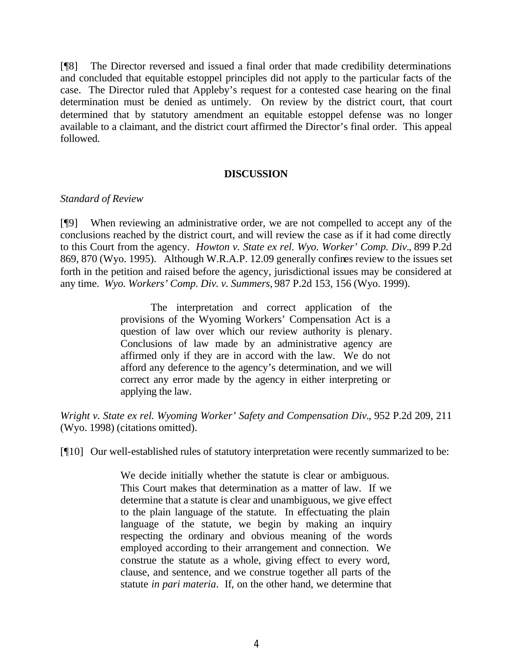[¶8] The Director reversed and issued a final order that made credibility determinations and concluded that equitable estoppel principles did not apply to the particular facts of the case. The Director ruled that Appleby's request for a contested case hearing on the final determination must be denied as untimely. On review by the district court, that court determined that by statutory amendment an equitable estoppel defense was no longer available to a claimant, and the district court affirmed the Director's final order. This appeal followed.

### **DISCUSSION**

### *Standard of Review*

[¶9] When reviewing an administrative order, we are not compelled to accept any of the conclusions reached by the district court, and will review the case as if it had come directly to this Court from the agency. *Howton v. State ex rel. Wyo. Worker' Comp. Div.*, 899 P.2d 869, 870 (Wyo. 1995). Although W.R.A.P. 12.09 generally confines review to the issues set forth in the petition and raised before the agency, jurisdictional issues may be considered at any time. *Wyo. Workers' Comp. Div. v. Summers,* 987 P.2d 153, 156 (Wyo. 1999).

> The interpretation and correct application of the provisions of the Wyoming Workers' Compensation Act is a question of law over which our review authority is plenary. Conclusions of law made by an administrative agency are affirmed only if they are in accord with the law. We do not afford any deference to the agency's determination, and we will correct any error made by the agency in either interpreting or applying the law.

*Wright v. State ex rel. Wyoming Worker' Safety and Compensation Div.*, 952 P.2d 209, 211 (Wyo. 1998) (citations omitted).

[¶10] Our well-established rules of statutory interpretation were recently summarized to be:

We decide initially whether the statute is clear or ambiguous. This Court makes that determination as a matter of law. If we determine that a statute is clear and unambiguous, we give effect to the plain language of the statute. In effectuating the plain language of the statute, we begin by making an inquiry respecting the ordinary and obvious meaning of the words employed according to their arrangement and connection. We construe the statute as a whole, giving effect to every word, clause, and sentence, and we construe together all parts of the statute *in pari materia*. If, on the other hand, we determine that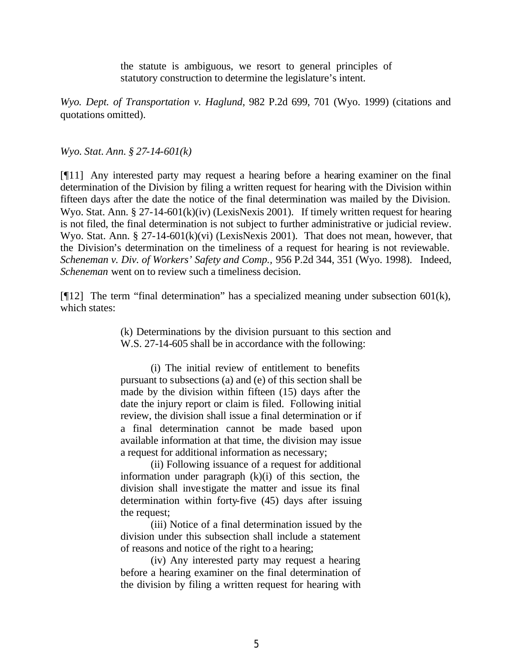the statute is ambiguous, we resort to general principles of statutory construction to determine the legislature's intent.

*Wyo. Dept. of Transportation v. Haglund*, 982 P.2d 699, 701 (Wyo. 1999) (citations and quotations omitted).

*Wyo. Stat. Ann. § 27-14-601(k)*

[¶11] Any interested party may request a hearing before a hearing examiner on the final determination of the Division by filing a written request for hearing with the Division within fifteen days after the date the notice of the final determination was mailed by the Division. Wyo. Stat. Ann. § 27-14-601(k)(iv) (LexisNexis 2001). If timely written request for hearing is not filed, the final determination is not subject to further administrative or judicial review. Wyo. Stat. Ann. § 27-14-601(k)(vi) (LexisNexis 2001). That does not mean, however, that the Division's determination on the timeliness of a request for hearing is not reviewable. *Scheneman v. Div. of Workers' Safety and Comp.,* 956 P.2d 344, 351 (Wyo. 1998). Indeed, *Scheneman* went on to review such a timeliness decision.

[ $[$ [12] The term "final determination" has a specialized meaning under subsection 601(k), which states:

> (k) Determinations by the division pursuant to this section and W.S. 27-14-605 shall be in accordance with the following:

(i) The initial review of entitlement to benefits pursuant to subsections (a) and (e) of this section shall be made by the division within fifteen (15) days after the date the injury report or claim is filed. Following initial review, the division shall issue a final determination or if a final determination cannot be made based upon available information at that time, the division may issue a request for additional information as necessary;

(ii) Following issuance of a request for additional information under paragraph  $(k)(i)$  of this section, the division shall investigate the matter and issue its final determination within forty-five (45) days after issuing the request;

(iii) Notice of a final determination issued by the division under this subsection shall include a statement of reasons and notice of the right to a hearing;

(iv) Any interested party may request a hearing before a hearing examiner on the final determination of the division by filing a written request for hearing with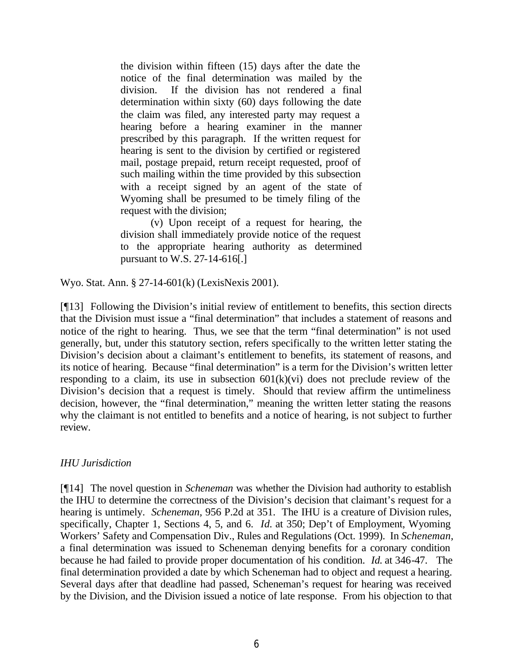the division within fifteen (15) days after the date the notice of the final determination was mailed by the division. If the division has not rendered a final determination within sixty (60) days following the date the claim was filed, any interested party may request a hearing before a hearing examiner in the manner prescribed by this paragraph. If the written request for hearing is sent to the division by certified or registered mail, postage prepaid, return receipt requested, proof of such mailing within the time provided by this subsection with a receipt signed by an agent of the state of Wyoming shall be presumed to be timely filing of the request with the division;

(v) Upon receipt of a request for hearing, the division shall immediately provide notice of the request to the appropriate hearing authority as determined pursuant to W.S. 27-14-616[.]

Wyo. Stat. Ann. § 27-14-601(k) (LexisNexis 2001).

[¶13] Following the Division's initial review of entitlement to benefits, this section directs that the Division must issue a "final determination" that includes a statement of reasons and notice of the right to hearing. Thus, we see that the term "final determination" is not used generally, but, under this statutory section, refers specifically to the written letter stating the Division's decision about a claimant's entitlement to benefits, its statement of reasons, and its notice of hearing. Because "final determination" is a term for the Division's written letter responding to a claim, its use in subsection  $601(k)(vi)$  does not preclude review of the Division's decision that a request is timely. Should that review affirm the untimeliness decision, however, the "final determination," meaning the written letter stating the reasons why the claimant is not entitled to benefits and a notice of hearing, is not subject to further review.

### *IHU Jurisdiction*

[¶14] The novel question in *Scheneman* was whether the Division had authority to establish the IHU to determine the correctness of the Division's decision that claimant's request for a hearing is untimely. *Scheneman,* 956 P.2d at 351. The IHU is a creature of Division rules, specifically, Chapter 1, Sections 4, 5, and 6. *Id.* at 350; Dep't of Employment, Wyoming Workers' Safety and Compensation Div., Rules and Regulations (Oct. 1999). In *Scheneman,* a final determination was issued to Scheneman denying benefits for a coronary condition because he had failed to provide proper documentation of his condition. *Id.* at 346-47. The final determination provided a date by which Scheneman had to object and request a hearing. Several days after that deadline had passed, Scheneman's request for hearing was received by the Division, and the Division issued a notice of late response. From his objection to that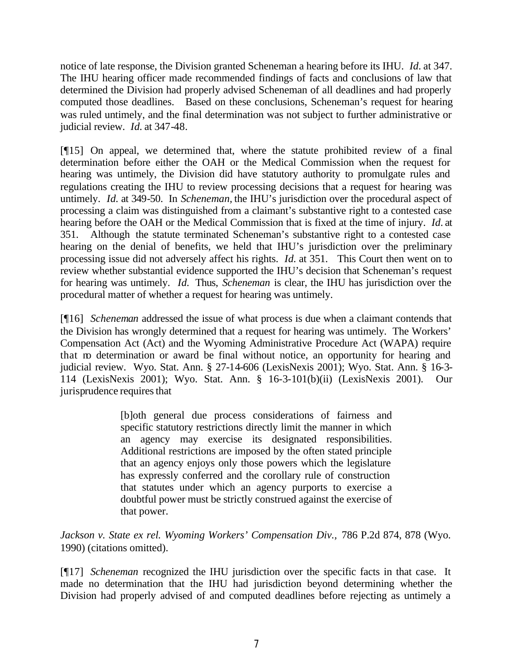notice of late response, the Division granted Scheneman a hearing before its IHU. *Id.* at 347. The IHU hearing officer made recommended findings of facts and conclusions of law that determined the Division had properly advised Scheneman of all deadlines and had properly computed those deadlines. Based on these conclusions, Scheneman's request for hearing was ruled untimely, and the final determination was not subject to further administrative or judicial review. *Id.* at 347-48.

[¶15] On appeal, we determined that, where the statute prohibited review of a final determination before either the OAH or the Medical Commission when the request for hearing was untimely, the Division did have statutory authority to promulgate rules and regulations creating the IHU to review processing decisions that a request for hearing was untimely. *Id.* at 349-50. In *Scheneman,* the IHU's jurisdiction over the procedural aspect of processing a claim was distinguished from a claimant's substantive right to a contested case hearing before the OAH or the Medical Commission that is fixed at the time of injury. *Id.* at 351. Although the statute terminated Scheneman's substantive right to a contested case hearing on the denial of benefits, we held that IHU's jurisdiction over the preliminary processing issue did not adversely affect his rights. *Id.* at 351. This Court then went on to review whether substantial evidence supported the IHU's decision that Scheneman's request for hearing was untimely. *Id.* Thus, *Scheneman* is clear, the IHU has jurisdiction over the procedural matter of whether a request for hearing was untimely.

[¶16] *Scheneman* addressed the issue of what process is due when a claimant contends that the Division has wrongly determined that a request for hearing was untimely. The Workers' Compensation Act (Act) and the Wyoming Administrative Procedure Act (WAPA) require that no determination or award be final without notice, an opportunity for hearing and judicial review. Wyo. Stat. Ann. § 27-14-606 (LexisNexis 2001); Wyo. Stat. Ann. § 16-3- 114 (LexisNexis 2001); Wyo. Stat. Ann. § 16-3-101(b)(ii) (LexisNexis 2001). Our jurisprudence requires that

> [b]oth general due process considerations of fairness and specific statutory restrictions directly limit the manner in which an agency may exercise its designated responsibilities. Additional restrictions are imposed by the often stated principle that an agency enjoys only those powers which the legislature has expressly conferred and the corollary rule of construction that statutes under which an agency purports to exercise a doubtful power must be strictly construed against the exercise of that power.

Jackson v. State ex rel. Wyoming Workers' Compensation Div., 786 P.2d 874, 878 (Wyo. 1990) (citations omitted).

[¶17] *Scheneman* recognized the IHU jurisdiction over the specific facts in that case. It made no determination that the IHU had jurisdiction beyond determining whether the Division had properly advised of and computed deadlines before rejecting as untimely a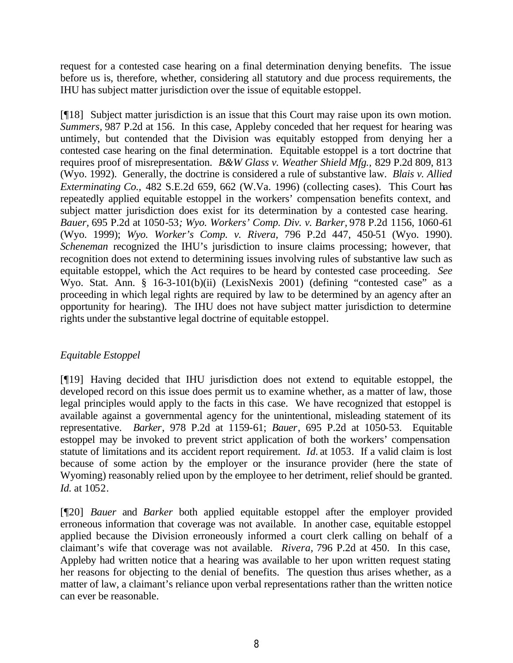request for a contested case hearing on a final determination denying benefits. The issue before us is, therefore, whether, considering all statutory and due process requirements, the IHU has subject matter jurisdiction over the issue of equitable estoppel.

[¶18] Subject matter jurisdiction is an issue that this Court may raise upon its own motion. *Summers,* 987 P.2d at 156. In this case, Appleby conceded that her request for hearing was untimely, but contended that the Division was equitably estopped from denying her a contested case hearing on the final determination. Equitable estoppel is a tort doctrine that requires proof of misrepresentation. *B&W Glass v. Weather Shield Mfg.,* 829 P.2d 809, 813 (Wyo. 1992). Generally, the doctrine is considered a rule of substantive law. *Blais v. Allied Exterminating Co.,* 482 S.E.2d 659, 662 (W.Va. 1996) (collecting cases). This Court has repeatedly applied equitable estoppel in the workers' compensation benefits context, and subject matter jurisdiction does exist for its determination by a contested case hearing. *Bauer,* 695 P.2d at 1050-53*; Wyo. Workers' Comp. Div. v. Barker,* 978 P.2d 1156, 1060-61 (Wyo. 1999); *Wyo. Worker's Comp. v. Rivera,* 796 P.2d 447, 450-51 (Wyo. 1990). *Scheneman* recognized the IHU's jurisdiction to insure claims processing; however, that recognition does not extend to determining issues involving rules of substantive law such as equitable estoppel, which the Act requires to be heard by contested case proceeding. *See*  Wyo. Stat. Ann. § 16-3-101(b)(ii) (LexisNexis 2001) (defining "contested case" as a proceeding in which legal rights are required by law to be determined by an agency after an opportunity for hearing). The IHU does not have subject matter jurisdiction to determine rights under the substantive legal doctrine of equitable estoppel.

## *Equitable Estoppel*

[¶19] Having decided that IHU jurisdiction does not extend to equitable estoppel, the developed record on this issue does permit us to examine whether, as a matter of law, those legal principles would apply to the facts in this case. We have recognized that estoppel is available against a governmental agency for the unintentional, misleading statement of its representative. *Barker*, 978 P.2d at 1159-61; *Bauer*, 695 P.2d at 1050-53. Equitable estoppel may be invoked to prevent strict application of both the workers' compensation statute of limitations and its accident report requirement. *Id.* at 1053*.* If a valid claim is lost because of some action by the employer or the insurance provider (here the state of Wyoming) reasonably relied upon by the employee to her detriment, relief should be granted. *Id.* at 1052.

[¶20] *Bauer* and *Barker* both applied equitable estoppel after the employer provided erroneous information that coverage was not available. In another case, equitable estoppel applied because the Division erroneously informed a court clerk calling on behalf of a claimant's wife that coverage was not available. *Rivera,* 796 P.2d at 450. In this case, Appleby had written notice that a hearing was available to her upon written request stating her reasons for objecting to the denial of benefits. The question thus arises whether, as a matter of law, a claimant's reliance upon verbal representations rather than the written notice can ever be reasonable.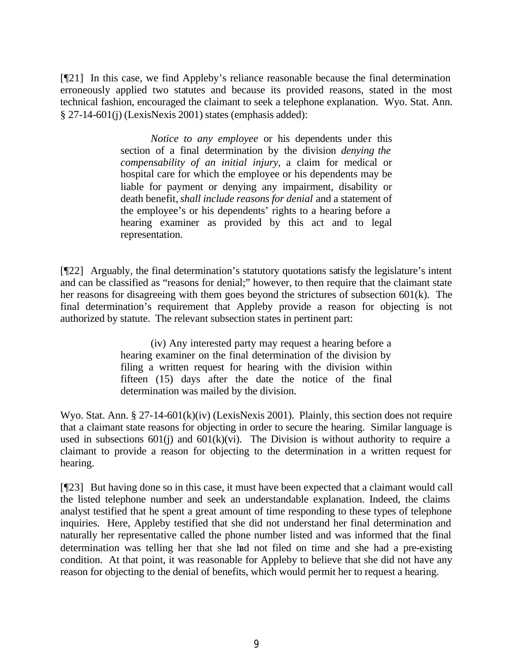[¶21] In this case, we find Appleby's reliance reasonable because the final determination erroneously applied two statutes and because its provided reasons, stated in the most technical fashion, encouraged the claimant to seek a telephone explanation. Wyo. Stat. Ann. § 27-14-601(j) (LexisNexis 2001) states (emphasis added):

> *Notice to any employee* or his dependents under this section of a final determination by the division *denying the compensability of an initial injury,* a claim for medical or hospital care for which the employee or his dependents may be liable for payment or denying any impairment, disability or death benefit, *shall include reasons for denial* and a statement of the employee's or his dependents' rights to a hearing before a hearing examiner as provided by this act and to legal representation.

[¶22] Arguably, the final determination's statutory quotations satisfy the legislature's intent and can be classified as "reasons for denial;" however, to then require that the claimant state her reasons for disagreeing with them goes beyond the strictures of subsection 601(k). The final determination's requirement that Appleby provide a reason for objecting is not authorized by statute. The relevant subsection states in pertinent part:

> (iv) Any interested party may request a hearing before a hearing examiner on the final determination of the division by filing a written request for hearing with the division within fifteen (15) days after the date the notice of the final determination was mailed by the division.

Wyo. Stat. Ann. § 27-14-601(k)(iv) (LexisNexis 2001). Plainly, this section does not require that a claimant state reasons for objecting in order to secure the hearing. Similar language is used in subsections  $601(i)$  and  $601(k)(vi)$ . The Division is without authority to require a claimant to provide a reason for objecting to the determination in a written request for hearing.

[¶23] But having done so in this case, it must have been expected that a claimant would call the listed telephone number and seek an understandable explanation. Indeed, the claims analyst testified that he spent a great amount of time responding to these types of telephone inquiries. Here, Appleby testified that she did not understand her final determination and naturally her representative called the phone number listed and was informed that the final determination was telling her that she had not filed on time and she had a pre-existing condition. At that point, it was reasonable for Appleby to believe that she did not have any reason for objecting to the denial of benefits, which would permit her to request a hearing.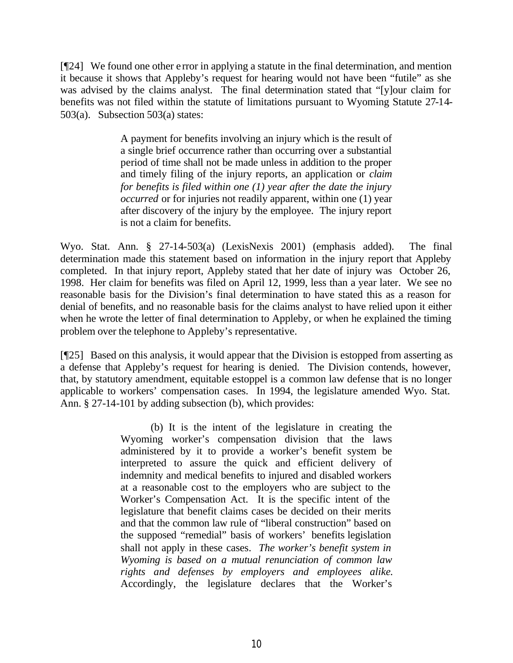[¶24] We found one other e rror in applying a statute in the final determination, and mention it because it shows that Appleby's request for hearing would not have been "futile" as she was advised by the claims analyst. The final determination stated that "[y]our claim for benefits was not filed within the statute of limitations pursuant to Wyoming Statute 27-14- 503(a). Subsection 503(a) states:

> A payment for benefits involving an injury which is the result of a single brief occurrence rather than occurring over a substantial period of time shall not be made unless in addition to the proper and timely filing of the injury reports, an application or *claim for benefits is filed within one (1) year after the date the injury occurred* or for injuries not readily apparent, within one (1) year after discovery of the injury by the employee. The injury report is not a claim for benefits.

Wyo. Stat. Ann. § 27-14-503(a) (LexisNexis 2001) (emphasis added). The final determination made this statement based on information in the injury report that Appleby completed. In that injury report, Appleby stated that her date of injury was October 26, 1998. Her claim for benefits was filed on April 12, 1999, less than a year later. We see no reasonable basis for the Division's final determination to have stated this as a reason for denial of benefits, and no reasonable basis for the claims analyst to have relied upon it either when he wrote the letter of final determination to Appleby, or when he explained the timing problem over the telephone to Appleby's representative.

[¶25] Based on this analysis, it would appear that the Division is estopped from asserting as a defense that Appleby's request for hearing is denied. The Division contends, however, that, by statutory amendment, equitable estoppel is a common law defense that is no longer applicable to workers' compensation cases. In 1994, the legislature amended Wyo. Stat. Ann. § 27-14-101 by adding subsection (b), which provides:

> (b) It is the intent of the legislature in creating the Wyoming worker's compensation division that the laws administered by it to provide a worker's benefit system be interpreted to assure the quick and efficient delivery of indemnity and medical benefits to injured and disabled workers at a reasonable cost to the employers who are subject to the Worker's Compensation Act. It is the specific intent of the legislature that benefit claims cases be decided on their merits and that the common law rule of "liberal construction" based on the supposed "remedial" basis of workers' benefits legislation shall not apply in these cases. *The worker's benefit system in Wyoming is based on a mutual renunciation of common law rights and defenses by employers and employees alike.* Accordingly, the legislature declares that the Worker's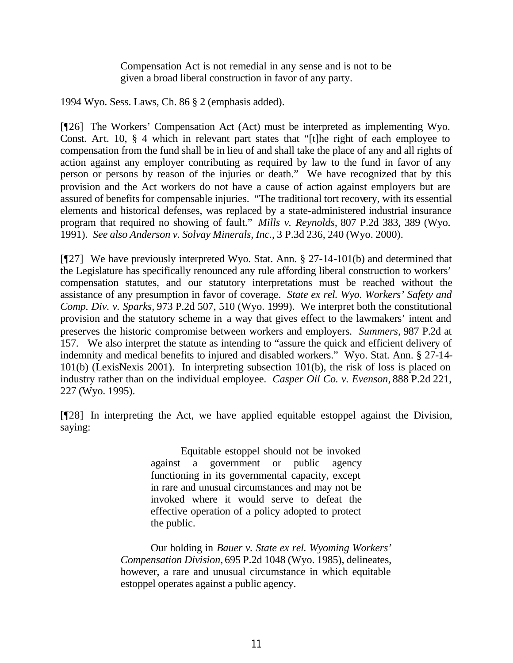Compensation Act is not remedial in any sense and is not to be given a broad liberal construction in favor of any party.

1994 Wyo. Sess. Laws, Ch. 86 § 2 (emphasis added).

[¶26] The Workers' Compensation Act (Act) must be interpreted as implementing Wyo. Const. Art. 10, § 4 which in relevant part states that "[t]he right of each employee to compensation from the fund shall be in lieu of and shall take the place of any and all rights of action against any employer contributing as required by law to the fund in favor of any person or persons by reason of the injuries or death." We have recognized that by this provision and the Act workers do not have a cause of action against employers but are assured of benefits for compensable injuries. "The traditional tort recovery, with its essential elements and historical defenses, was replaced by a state-administered industrial insurance program that required no showing of fault." *Mills v. Reynolds,* 807 P.2d 383, 389 (Wyo. 1991). *See also Anderson v. Solvay Minerals, Inc.*, 3 P.3d 236, 240 (Wyo. 2000).

[¶27] We have previously interpreted Wyo. Stat. Ann. § 27-14-101(b) and determined that the Legislature has specifically renounced any rule affording liberal construction to workers' compensation statutes, and our statutory interpretations must be reached without the assistance of any presumption in favor of coverage. *State ex rel. Wyo. Workers' Safety and Comp. Div. v. Sparks,* 973 P.2d 507, 510 (Wyo. 1999). We interpret both the constitutional provision and the statutory scheme in a way that gives effect to the lawmakers' intent and preserves the historic compromise between workers and employers. *Summers,* 987 P.2d at 157. We also interpret the statute as intending to "assure the quick and efficient delivery of indemnity and medical benefits to injured and disabled workers." Wyo. Stat. Ann. § 27-14- 101(b) (LexisNexis 2001). In interpreting subsection 101(b), the risk of loss is placed on industry rather than on the individual employee. *Casper Oil Co. v. Evenson,* 888 P.2d 221, 227 (Wyo. 1995).

[¶28] In interpreting the Act, we have applied equitable estoppel against the Division, saying:

> Equitable estoppel should not be invoked against a government or public agency functioning in its governmental capacity, except in rare and unusual circumstances and may not be invoked where it would serve to defeat the effective operation of a policy adopted to protect the public.

Our holding in *Bauer v. State ex rel. Wyoming Workers' Compensation Division,* 695 P.2d 1048 (Wyo. 1985), delineates, however, a rare and unusual circumstance in which equitable estoppel operates against a public agency.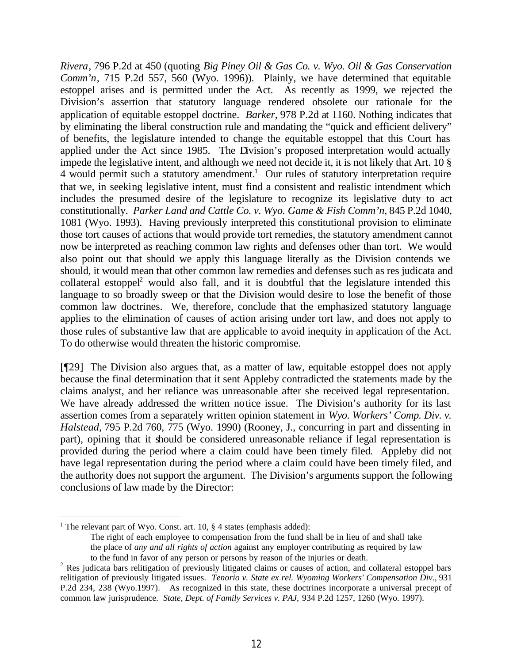*Rivera*, 796 P.2d at 450 (quoting *Big Piney Oil & Gas Co. v. Wyo. Oil & Gas Conservation Comm'n*, 715 P.2d 557, 560 (Wyo. 1996)). Plainly, we have determined that equitable estoppel arises and is permitted under the Act. As recently as 1999, we rejected the Division's assertion that statutory language rendered obsolete our rationale for the application of equitable estoppel doctrine. *Barker,* 978 P.2d at 1160. Nothing indicates that by eliminating the liberal construction rule and mandating the "quick and efficient delivery" of benefits, the legislature intended to change the equitable estoppel that this Court has applied under the Act since 1985. The Division's proposed interpretation would actually impede the legislative intent, and although we need not decide it, it is not likely that Art. 10 §  $4$  would permit such a statutory amendment.<sup>1</sup> Our rules of statutory interpretation require that we, in seeking legislative intent, must find a consistent and realistic intendment which includes the presumed desire of the legislature to recognize its legislative duty to act constitutionally. *Parker Land and Cattle Co. v. Wyo. Game & Fish Comm'n*, 845 P.2d 1040, 1081 (Wyo. 1993). Having previously interpreted this constitutional provision to eliminate those tort causes of actions that would provide tort remedies, the statutory amendment cannot now be interpreted as reaching common law rights and defenses other than tort. We would also point out that should we apply this language literally as the Division contends we should, it would mean that other common law remedies and defenses such as res judicata and collateral estoppel<sup>2</sup> would also fall, and it is doubtful that the legislature intended this language to so broadly sweep or that the Division would desire to lose the benefit of those common law doctrines. We, therefore, conclude that the emphasized statutory language applies to the elimination of causes of action arising under tort law, and does not apply to those rules of substantive law that are applicable to avoid inequity in application of the Act. To do otherwise would threaten the historic compromise.

[¶29] The Division also argues that, as a matter of law, equitable estoppel does not apply because the final determination that it sent Appleby contradicted the statements made by the claims analyst, and her reliance was unreasonable after she received legal representation. We have already addressed the written notice issue. The Division's authority for its last assertion comes from a separately written opinion statement in *Wyo. Workers' Comp. Div. v. Halstead,* 795 P.2d 760, 775 (Wyo. 1990) (Rooney, J., concurring in part and dissenting in part), opining that it should be considered unreasonable reliance if legal representation is provided during the period where a claim could have been timely filed. Appleby did not have legal representation during the period where a claim could have been timely filed, and the authority does not support the argument. The Division's arguments support the following conclusions of law made by the Director:

<sup>&</sup>lt;sup>1</sup> The relevant part of Wyo. Const. art. 10,  $\S$  4 states (emphasis added):

The right of each employee to compensation from the fund shall be in lieu of and shall take the place of *any and all rights of action* against any employer contributing as required by law to the fund in favor of any person or persons by reason of the injuries or death.

<sup>&</sup>lt;sup>2</sup> Res judicata bars relitigation of previously litigated claims or causes of action, and collateral estoppel bars relitigation of previously litigated issues. *Tenorio v. State ex rel. Wyoming Workers' Compensation Div.*, 931 P.2d 234, 238 (Wyo.1997). As recognized in this state, these doctrines incorporate a universal precept of common law jurisprudence. *State, Dept. of Family Services v. PAJ,* 934 P.2d 1257, 1260 (Wyo. 1997).